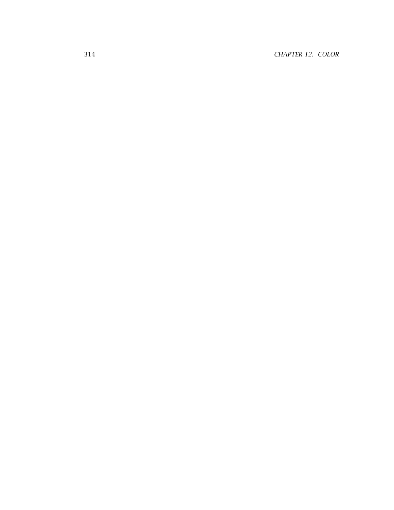*CHAPTER 12. COLOR*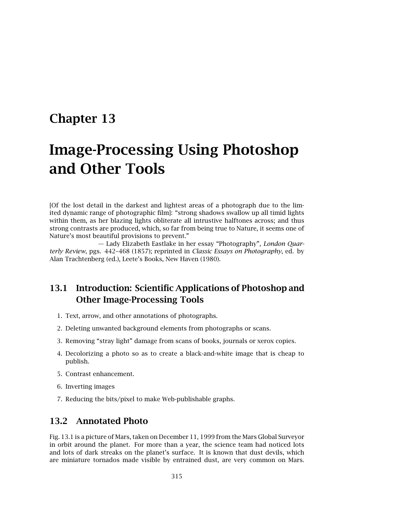## **Chapter 13**

# **Image-Processing Using Photoshop and Other Tools**

[Of the lost detail in the darkest and lightest areas of a photograph due to the limited dynamic range of photographic film]: "strong shadows swallow up all timid lights within them, as her blazing lights obliterate all intrustive halftones across; and thus strong contrasts are produced, which, so far from being true to Nature, it seems one of Nature's most beautiful provisions to prevent."

— Lady Elizabeth Eastlake in her essay "Photography", *London Quarterly Review*, pgs. 442–468 (1857); reprinted in *Classic Essays on Photography*, ed. by Alan Trachtenberg (ed.), Leete's Books, New Haven (1980).

### **13.1 Introduction: Scientific Applications of Photoshop and Other Image-Processing Tools**

- 1. Text, arrow, and other annotations of photographs.
- 2. Deleting unwanted background elements from photographs or scans.
- 3. Removing "stray light" damage from scans of books, journals or xerox copies.
- 4. Decolorizing a photo so as to create a black-and-white image that is cheap to publish.
- 5. Contrast enhancement.
- 6. Inverting images
- 7. Reducing the bits/pixel to make Web-publishable graphs.

### **13.2 Annotated Photo**

Fig. 13.1 is a picture of Mars, taken on December 11, 1999 from the Mars Global Surveyor in orbit around the planet. For more than a year, the science team had noticed lots and lots of dark streaks on the planet's surface. It is known that dust devils, which are miniature tornados made visible by entrained dust, are very common on Mars.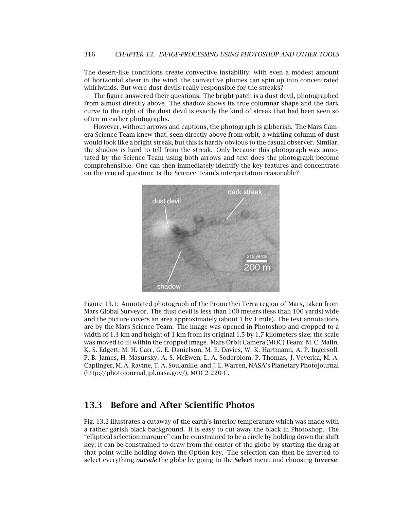The desert-like conditions create convective instability; with even a modest amount of horizontal shear in the wind, the convective plumes can spin up into concentrated whirlwinds. But were dust devils really responsible for the streaks?

The figure answered their questions. The bright patch is a dust devil, photographed from almost directly above. The shadow shows its true columnar shape and the dark curve to the right of the dust devil is exactly the kind of streak that had been seen so often in earlier photographs.

However, without arrows and captions, the photograph is gibberish. The Mars Camera Science Team knew that, seen directly above from orbit, a whirling column of dust would look like a bright streak, but this is hardly obvious to the casual observer. Similar, the shadow is hard to tell from the streak. Only because this photograph was annotated by the Science Team using both arrows and text does the photograph become comprehensible. One can then immediately identify the key features and concentrate on the crucial question: Is the Science Team's interpretation reasonable?



Figure 13.1: Annotated photograph of the Promethei Terra region of Mars, taken from Mars Global Surveyor. The dust devil is less than 100 meters (less than 100 yards) wide and the picture covers an area approximately (about 1 by 1 mile). The text annotations are by the Mars Science Team. The image was opened in Photoshop and cropped to a width of 1.3 km and height of 1 km from its original 1.5 by 1.7 kilometers size; the scale was moved to fit within the cropped image. Mars Orbit Camera (MOC) Team: M. C. Malin, K. S. Edgett, M. H. Carr, G. E. Danielson, M. E. Davies, W. K. Hartmann, A. P. Ingersoll, P. B. James, H. Masursky, A. S. McEwen, L. A. Soderblom, P. Thomas, J. Veverka, M. A. Caplinger, M. A. Ravine, T. A. Soulanille, and J. L. Warren, NASA's Planetary Photojournal  $(\text{http://photojournal.jplnasa.gov/}),\text{MOC2-220-C.})$ 

### **13.3 Before and After Scientific Photos**

Fig. 13.2 illustrates a cutaway of the earth's interior temperature which was made with a rather garish black background. It is easy to cut away the black in Photoshop. The "elliptical selection marquee" can be constrained to be a circle by holding down the shift key; it can be constrained to draw from the center of the globe by starting the drag at that point while holding down the Option key. The selection can then be inverted to select everything *outside* the globe by going to the **Select** menu and choosing **Inverse**.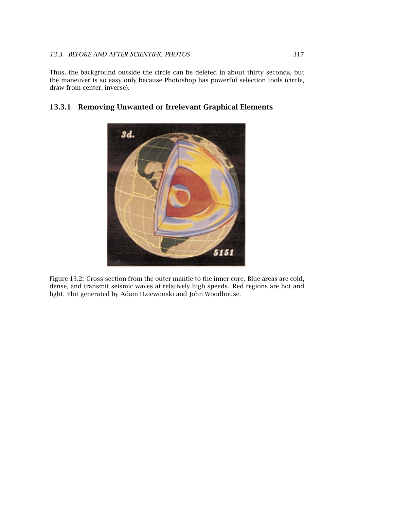#### *13.3. BEFORE AND AFTER SCIENTIFIC PHOTOS* 317

Thus, the background outside the circle can be deleted in about thirty seconds, but the maneuver is so easy only because Photoshop has powerful selection tools (circle, draw-from-center, inverse).

### **13.3.1 Removing Unwanted or Irrelevant Graphical Elements**



Figure 13.2: Cross-section from the outer mantle to the inner core. Blue areas are cold, dense, and transmit seismic waves at relatively high speeds. Red regions are hot and light. Plot generated by Adam Dziewonski and John Woodhouse.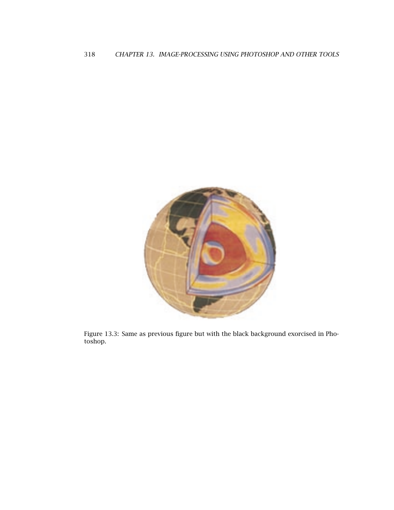

Figure 13.3: Same as previous figure but with the black background exorcised in Photoshop.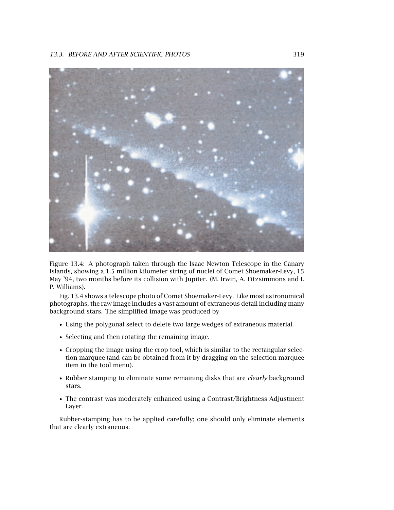

Figure 13.4: A photograph taken through the Isaac Newton Telescope in the Canary Islands, showing a 1.5 million kilometer string of nuclei of Comet Shoemaker-Levy, 15 May '94, two months before its collision with Jupiter. (M. Irwin, A. Fitzsimmons and I. P. Williams).

Fig. 13.4 shows a telescope photo of Comet Shoemaker-Levy. Like most astronomical photographs, the raw image includes a vast amount of extraneous detail including many background stars. The simplified image was produced by

- Using the polygonal select to delete two large wedges of extraneous material.
- Selecting and then rotating the remaining image.
- Cropping the image using the crop tool,which is similar to the rectangular selection marquee (and can be obtained from it by dragging on the selection marquee item in the tool menu).
- Rubber stamping to eliminate some remaining disks that are *clearly* background stars.
- The contrast was moderately enhanced using a Contrast/Brightness Adjustment Layer.

Rubber-stamping has to be applied carefully; one should only eliminate elements that are clearly extraneous.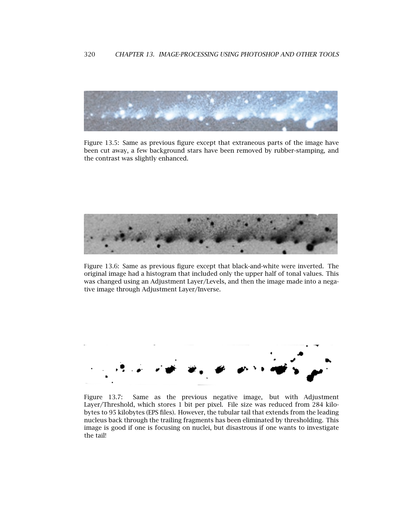

Figure 13.5: Same as previous figure except that extraneous parts of the image have been cut away, a few background stars have been removed by rubber-stamping, and the contrast was slightly enhanced.



Figure 13.6: Same as previous figure except that black-and-white were inverted. The original image had a histogram that included only the upper half of tonal values. This was changed using an Adjustment Layer/Levels, and then the image made into a negative image through Adjustment Layer/Inverse.



Figure 13.7: Same as the previous negative image, but with Adjustment Layer/Threshold, which stores 1 bit per pixel. File size was reduced from 284 kilobytes to 95 kilobytes (EPS files). However, the tubular tail that extends from the leading nucleus back through the trailing fragments has been eliminated by thresholding. This image is good if one is focusing on nuclei, but disastrous if one wants to investigate the tail!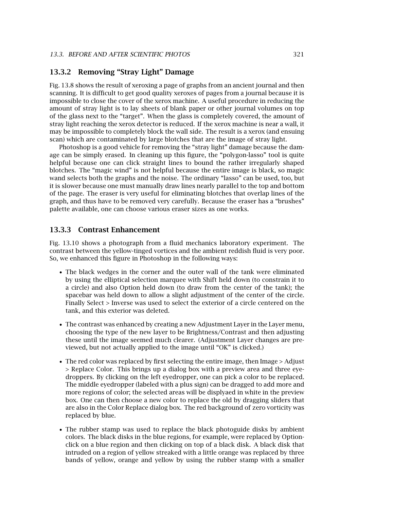#### **13.3.2 Removing "Stray Light" Damage**

Fig. 13.8 shows the result of xeroxing a page of graphs from an ancient journal and then scanning. It is difficult to get good quality xeroxes of pages from a journal because it is impossible to close the cover of the xerox machine. A useful procedure in reducing the amount of stray light is to lay sheets of blank paper or other journal volumes on top of the glass next to the "target". When the glass is completely covered, the amount of stray light reaching the xerox detector is reduced. If the xerox machine is near a wall, it may be impossible to completely block the wall side. The result is a xerox (and ensuing scan) which are contaminated by large blotches that are the image of stray light.

Photoshop is a good vehicle for removing the "stray light" damage because the damage can be simply erased. In cleaning up this figure, the "polygon-lasso" tool is quite helpful because one can click straight lines to bound the rather irregularly shaped blotches. The "magic wind" is not helpful because the entire image is black, so magic wand selects both the graphs and the noise. The ordinary "lasso" can be used, too, but it is slower because one must manually draw lines nearly parallel to the top and bottom of the page. The eraser is very useful for eliminating blotches that overlap lines of the graph, and thus have to be removed very carefully. Because the eraser has a "brushes" palette available, one can choose various eraser sizes as one works.

#### **13.3.3 Contrast Enhancement**

Fig. 13.10 shows a photograph from a fluid mechanics laboratory experiment. The contrast between the yellow-tinged vortices and the ambient reddish fluid is very poor. So, we enhanced this figure in Photoshop in the following ways:

- The black wedges in the corner and the outer wall of the tank were eliminated by using the elliptical selection marquee with Shift held down (to constrain it to a circle) and also Option held down (to draw from the center of the tank); the spacebar was held down to allow a slight adjustment of the center of the circle. Finally Select > Inverse was used to select the exterior of a circle centered on the tank, and this exterior was deleted.
- The contrast was enhanced by creating a new Adjustment Layer in the Layer menu, choosing the type of the new layer to be Brightness/Contrast and then adjusting these until the image seemed much clearer. (Adjustment Layer changes are previewed, but not actually applied to the image until "OK" is clicked.)
- The red color was replaced by first selecting the entire image, then Image > Adjust > Replace Color. This brings up a dialog box with a preview area and three eyedroppers. By clicking on the left eyedropper, one can pick a color to be replaced. The middle eyedropper (labeled with a plus sign) can be dragged to add more and more regions of color; the selected areas will be displyaed in white in the preview box. One can then choose a new color to replace the old by dragging sliders that are also in the Color Replace dialog box. The red background of zero vorticity was replaced by blue.
- The rubber stamp was used to replace the black photoguide disks by ambient colors. The black disks in the blue regions,for example,were replaced by Optionclick on a blue region and then clicking on top of a black disk. A black disk that intruded on a region of yellow streaked with a little orange was replaced by three bands of yellow, orange and yellow by using the rubber stamp with a smaller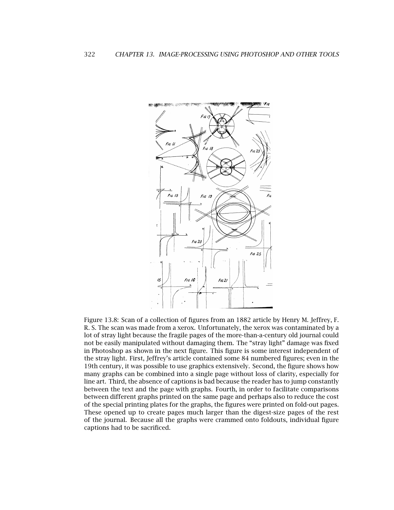

Figure 13.8: Scan of a collection of figures from an 1882 article by Henry M. Jeffrey, F. R. S. The scan was made from a xerox. Unfortunately, the xerox was contaminated by a lot of stray light because the fragile pages of the more-than-a-century old journal could not be easily manipulated without damaging them. The "stray light" damage was fixed in Photoshop as shown in the next figure. This figure is some interest independent of the stray light. First, Jeffrey's article contained some 84 numbered figures; even in the 19th century, it was possible to use graphics extensively. Second, the figure shows how many graphs can be combined into a single page without loss of clarity, especially for line art. Third, the absence of captions is bad because the reader has to jump constantly between the text and the page with graphs. Fourth, in order to facilitate comparisons between different graphs printed on the same page and perhaps also to reduce the cost of the special printing plates for the graphs, the figures were printed on fold-out pages. These opened up to create pages much larger than the digest-size pages of the rest of the journal. Because all the graphs were crammed onto foldouts, individual figure captions had to be sacrificed.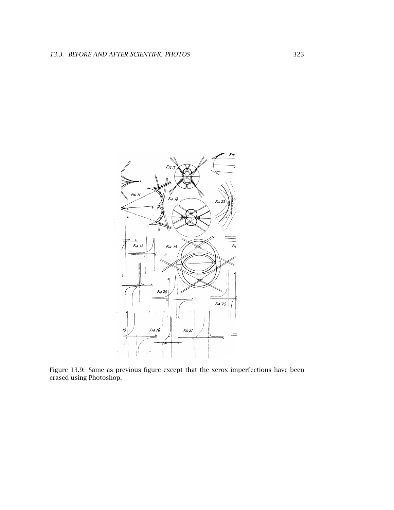

Figure 13.9: Same as previous figure except that the xerox imperfections have been erased using Photoshop.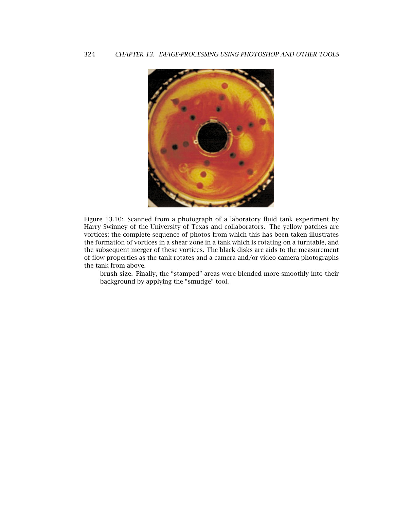

Figure 13.10: Scanned from a photograph of a laboratory fluid tank experiment by Harry Swinney of the University of Texas and collaborators. The yellow patches are vortices; the complete sequence of photos from which this has been taken illustrates the formation of vortices in a shear zone in a tank which is rotating on a turntable, and the subsequent merger of these vortices. The black disks are aids to the measurement of flow properties as the tank rotates and a camera and/or video camera photographs the tank from above.

brush size. Finally, the "stamped" areas were blended more smoothly into their background by applying the "smudge" tool.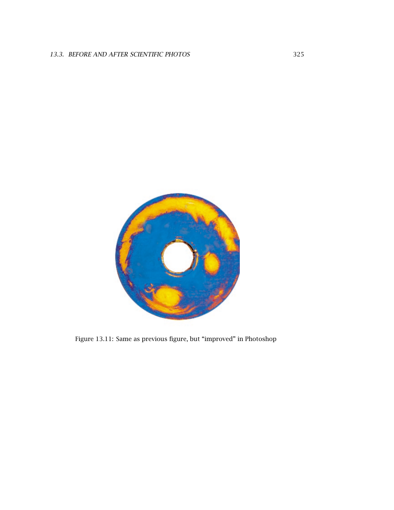

Figure 13.11: Same as previous figure, but "improved" in Photoshop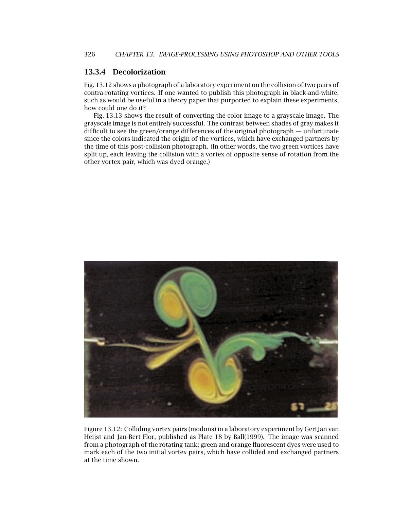#### **13.3.4 Decolorization**

Fig. 13.12 shows a photograph of a laboratory experiment on the collision of two pairs of contra-rotating vortices. If one wanted to publish this photograph in black-and-white, such as would be useful in a theory paper that purported to explain these experiments, how could one do it?

Fig. 13.13 shows the result of converting the color image to a grayscale image. The grayscale image is not entirely successful. The contrast between shades of gray makes it difficult to see the green/orange differences of the original photograph — unfortunate since the colors indicated the origin of the vortices, which have exchanged partners by the time of this post-collision photograph. (In other words, the two green vortices have split up, each leaving the collision with a vortex of opposite sense of rotation from the other vortex pair, which was dyed orange.)



Figure 13.12: Colliding vortex pairs (modons) in a laboratory experiment by GertJan van Heijst and Jan-Bert Flor, published as Plate 18 by Ball(1999). The image was scanned from a photograph of the rotating tank; green and orange fluorescent dyes were used to mark each of the two initial vortex pairs, which have collided and exchanged partners at the time shown.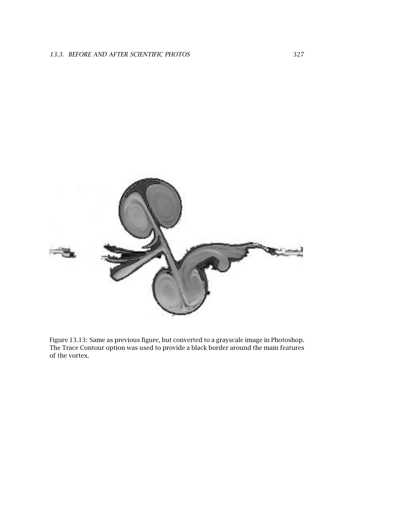

Figure 13.13: Same as previous figure, but converted to a grayscale image in Photoshop. The Trace Contour option was used to provide a black border around the main features of the vortex.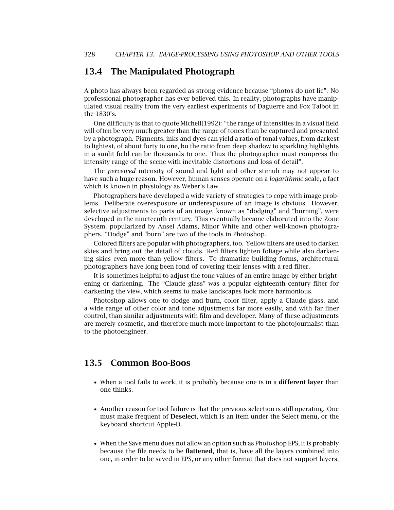### **13.4 The Manipulated Photograph**

A photo has always been regarded as strong evidence because "photos do not lie". No professional photographer has ever believed this. In reality, photographs have manipulated visual reality from the very earliest experiments of Daguerre and Fox Talbot in the 1830's.

One difficulty is that to quote Michell(1992): "the range of intensities in a visual field will often be very much greater than the range of tones than be captured and presented by a photograph. Pigments, inks and dyes can yield a ratio of tonal values, from darkest to lightest, of about forty to one, bu the ratio from deep shadow to sparkling highlights in a sunlit field can be thousands to one. Thus the photographer must compress the intensity range of the scene with inevitable distortions and loss of detail".

The *perceived* intensity of sound and light and other stimuli may not appear to have such a huge reason. However, human senses operate on a *logarithmic* scale, a fact which is known in physiology as Weber's Law.

Photographers have developed a wide variety of strategies to cope with image problems. Deliberate overexposure or underexposure of an image is obvious. However, selective adjustments to parts of an image, known as "dodging" and "burning", were developed in the nineteenth century. This eventually became elaborated into the Zone System, popularized by Ansel Adams, Minor White and other well-known photographers. "Dodge" and "burn" are two of the tools in Photoshop.

Colored filters are popular with photographers, too. Yellow filters are used to darken skies and bring out the detail of clouds. Red filters lighten foliage while also darkening skies even more than yellow filters. To dramatize building forms, architectural photographers have long been fond of covering their lenses with a red filter.

It is sometimes helpful to adjust the tone values of an entire image by either brightening or darkening. The "Claude glass" was a popular eighteenth century filter for darkening the view, which seems to make landscapes look more harmonious.

Photoshop allows one to dodge and burn, color filter, apply a Claude glass, and a wide range of other color and tone adjustments far more easily, and with far finer control, than similar adjustments with film and developer. Many of these adjustments are merely cosmetic, and therefore much more important to the photojournalist than to the photoengineer.

### **13.5 Common Boo-Boos**

- When a tool fails to work, it is probably because one is in a **different layer** than one thinks.
- Another reason for tool failure is that the previous selection is still operating. One must make frequent of **Deselect**, which is an item under the Select menu, or the keyboard shortcut Apple-D.
- When the Save menu does not allow an option such as Photoshop EPS, it is probably because the file needs to be **flattened**, that is, have all the layers combined into one, in order to be saved in EPS, or any other format that does not support layers.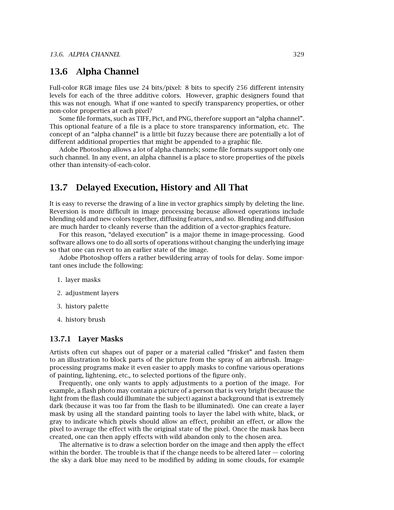### **13.6 Alpha Channel**

Full-color RGB image files use 24 bits/pixel: 8 bits to specify 256 different intensity levels for each of the three additive colors. However, graphic designers found that this was not enough. What if one wanted to specify transparency properties, or other non-color properties at each pixel?

Some file formats, such as TIFF, Pict, and PNG, therefore support an "alpha channel". This optional feature of a file is a place to store transparency information, etc. The concept of an "alpha channel" is a little bit fuzzy because there are potentially a lot of different additional properties that might be appended to a graphic file.

Adobe Photoshop allows a lot of alpha channels; some file formats support only one such channel. In any event, an alpha channel is a place to store properties of the pixels other than intensity-of-each-color.

### **13.7 Delayed Execution, History and All That**

It is easy to reverse the drawing of a line in vector graphics simply by deleting the line. Reversion is more difficult in image processing because allowed operations include blending old and new colors together, diffusing features, and so. Blending and diffusion are much harder to cleanly reverse than the addition of a vector-graphics feature.

For this reason,"delayed execution" is a major theme in image-processing. Good software allows one to do all sorts of operations without changing the underlying image so that one can revert to an earlier state of the image.

Adobe Photoshop offers a rather bewildering array of tools for delay. Some important ones include the following:

- 1. layer masks
- 2. adjustment layers
- 3. history palette
- 4. history brush

#### **13.7.1 Layer Masks**

Artists often cut shapes out of paper or a material called "frisket" and fasten them to an illustration to block parts of the picture from the spray of an airbrush. Imageprocessing programs make it even easier to apply masks to confine various operations of painting, lightening, etc., to selected portions of the figure only.

Frequently, one only wants to apply adjustments to a portion of the image. For example, a flash photo may contain a picture of a person that is very bright (because the light from the flash could illuminate the subject) against a background that is extremely dark (because it was too far from the flash to be illuminated). One can create a layer mask by using all the standard painting tools to layer the label with white, black, or gray to indicate which pixels should allow an effect, prohibit an effect, or allow the pixel to average the effect with the original state of the pixel. Once the mask has been created, one can then apply effects with wild abandon only to the chosen area.

The alternative is to draw a selection border on the image and then apply the effect within the border. The trouble is that if the change needs to be altered later — coloring the sky a dark blue may need to be modified by adding in some clouds, for example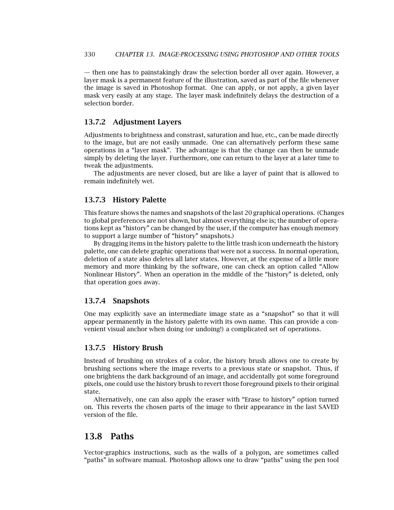— then one has to painstakingly draw the selection border all over again. However,a layer mask is a permanent feature of the illustration, saved as part of the file whenever the image is saved in Photoshop format. One can apply, or not apply, a given layer mask very easily at any stage. The layer mask indefinitely delays the destruction of a selection border.

#### **13.7.2 Adjustment Layers**

Adjustments to brightness and constrast, saturation and hue, etc., can be made directly to the image, but are not easily unmade. One can alternatively perform these same operations in a "layer mask". The advantage is that the change can then be unmade simply by deleting the layer. Furthermore, one can return to the layer at a later time to tweak the adjustments.

The adjustments are never closed, but are like a layer of paint that is allowed to remain indefinitely wet.

#### **13.7.3 History Palette**

This feature shows the names and snapshots of the last 20 graphical operations. (Changes to global preferences are not shown, but almost everything else is; the number of operations kept as "history" can be changed by the user, if the computer has enough memory to support a large number of "history" snapshots.)

By dragging items in the history palette to the little trash icon underneath the history palette, one can delete graphic operations that were not a success. In normal operation, deletion of a state also deletes all later states. However,at the expense of a little more memory and more thinking by the software, one can check an option called "Allow" Nonlinear History". When an operation in the middle of the "history" is deleted, only that operation goes away.

#### **13.7.4 Snapshots**

One may explicitly save an intermediate image state as a "snapshot" so that it will appear permanently in the history palette with its own name. This can provide a convenient visual anchor when doing (or undoing!) a complicated set of operations.

#### **13.7.5 History Brush**

Instead of brushing on strokes of a color, the history brush allows one to create by brushing sections where the image reverts to a previous state or snapshot. Thus, if one brightens the dark background of an image, and accidentally got some foreground pixels,one could use the history brush to revert those foreground pixels to their original state.

Alternatively, one can also apply the eraser with "Erase to history" option turned on. This reverts the chosen parts of the image to their appearance in the last SAVED version of the file.

### **13.8 Paths**

Vector-graphics instructions, such as the walls of a polygon, are sometimes called "paths" in software manual. Photoshop allows one to draw "paths" using the pen tool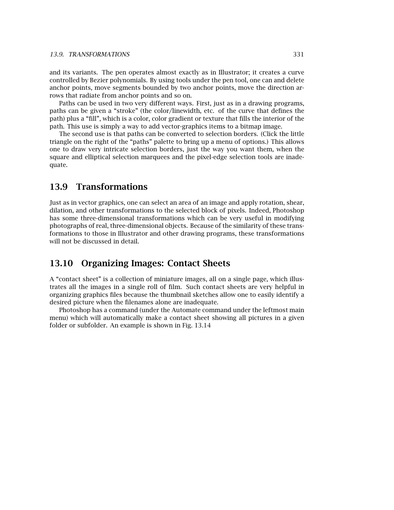#### *13.9. TRANSFORMATIONS* 331

and its variants. The pen operates almost exactly as in Illustrator; it creates a curve controlled by Bezier polynomials. By using tools under the pen tool, one can and delete anchor points, move segments bounded by two anchor points, move the direction arrows that radiate from anchor points and so on.

Paths can be used in two very different ways. First, just as in a drawing programs, paths can be given a "stroke" (the color/linewidth, etc. of the curve that defines the path) plus a "fill", which is a color, color gradient or texture that fills the interior of the path. This use is simply a way to add vector-graphics items to a bitmap image.

The second use is that paths can be converted to selection borders. (Click the little triangle on the right of the "paths" palette to bring up a menu of options.) This allows one to draw very intricate selection borders, just the way you want them, when the square and elliptical selection marquees and the pixel-edge selection tools are inadequate.

### **13.9 Transformations**

Just as in vector graphics, one can select an area of an image and apply rotation, shear, dilation, and other transformations to the selected block of pixels. Indeed, Photoshop has some three-dimensional transformations which can be very useful in modifying photographs of real, three-dimensional objects. Because of the similarity of these transformations to those in Illustrator and other drawing programs, these transformations will not be discussed in detail.

### **13.10 Organizing Images: Contact Sheets**

A "contact sheet" is a collection of miniature images, all on a single page, which illustrates all the images in a single roll of film. Such contact sheets are very helpful in organizing graphics files because the thumbnail sketches allow one to easily identify a desired picture when the filenames alone are inadequate.

Photoshop has a command (under the Automate command under the leftmost main menu) which will automatically make a contact sheet showing all pictures in a given folder or subfolder. An example is shown in Fig. 13.14